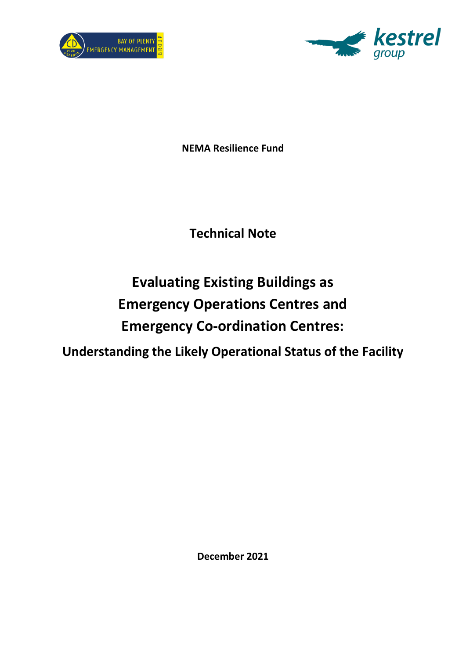



**NEMA Resilience Fund**

## **Technical Note**

# **Evaluating Existing Buildings as Emergency Operations Centres and Emergency Co-ordination Centres:**

**Understanding the Likely Operational Status of the Facility**

**December 2021**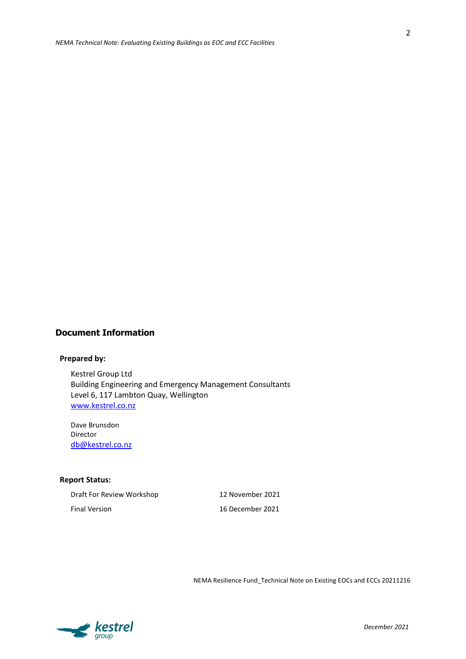2

#### **Document Information**

#### **Prepared by:**

Kestrel Group Ltd Building Engineering and Emergency Management Consultants Level 6, 117 Lambton Quay, Wellington [www.kestrel.co.nz](http://www.kestrel.co.nz/)

Dave Brunsdon Director [db@kestrel.co.nz](mailto:db@kestrel.co.nz)

#### **Report Status:**

| Draft For Review Workshop |  |
|---------------------------|--|
| <b>Final Version</b>      |  |

12 November 2021 16 December 2021

NEMA Resilience Fund\_Technical Note on Existing EOCs and ECCs 20211216

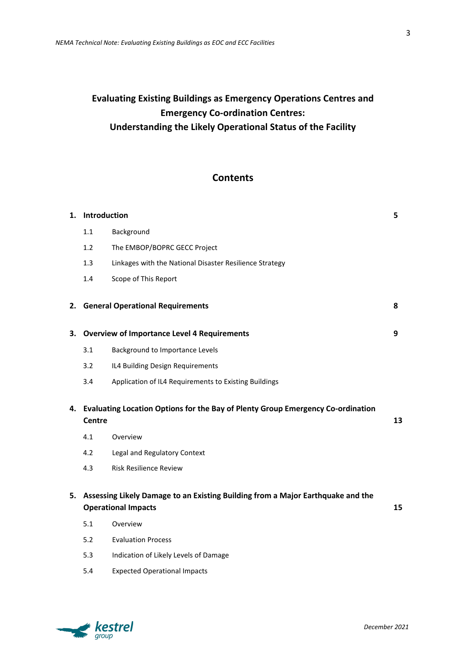## **Evaluating Existing Buildings as Emergency Operations Centres and Emergency Co-ordination Centres: Understanding the Likely Operational Status of the Facility**

## **Contents**

| Introduction                                                                                                           |                                                         |                                                                                                                                                                              |  |
|------------------------------------------------------------------------------------------------------------------------|---------------------------------------------------------|------------------------------------------------------------------------------------------------------------------------------------------------------------------------------|--|
| 1.1                                                                                                                    | Background                                              |                                                                                                                                                                              |  |
| 1.2                                                                                                                    | The EMBOP/BOPRC GECC Project                            |                                                                                                                                                                              |  |
| 1.3                                                                                                                    | Linkages with the National Disaster Resilience Strategy |                                                                                                                                                                              |  |
| 1.4                                                                                                                    | Scope of This Report                                    |                                                                                                                                                                              |  |
| 2.                                                                                                                     |                                                         | 8                                                                                                                                                                            |  |
|                                                                                                                        |                                                         |                                                                                                                                                                              |  |
| 3.1                                                                                                                    | Background to Importance Levels                         |                                                                                                                                                                              |  |
| 3.2                                                                                                                    | IL4 Building Design Requirements                        |                                                                                                                                                                              |  |
| 3.4                                                                                                                    | Application of IL4 Requirements to Existing Buildings   |                                                                                                                                                                              |  |
|                                                                                                                        | 13                                                      |                                                                                                                                                                              |  |
| 4.1                                                                                                                    | Overview                                                |                                                                                                                                                                              |  |
| 4.2                                                                                                                    | Legal and Regulatory Context                            |                                                                                                                                                                              |  |
| 4.3                                                                                                                    | <b>Risk Resilience Review</b>                           |                                                                                                                                                                              |  |
| 5. Assessing Likely Damage to an Existing Building from a Major Earthquake and the<br><b>Operational Impacts</b><br>15 |                                                         |                                                                                                                                                                              |  |
| 5.1                                                                                                                    | Overview                                                |                                                                                                                                                                              |  |
| 5.2                                                                                                                    | <b>Evaluation Process</b>                               |                                                                                                                                                                              |  |
| 5.3                                                                                                                    | Indication of Likely Levels of Damage                   |                                                                                                                                                                              |  |
|                                                                                                                        | <b>Centre</b>                                           | <b>General Operational Requirements</b><br>3. Overview of Importance Level 4 Requirements<br>Evaluating Location Options for the Bay of Plenty Group Emergency Co-ordination |  |



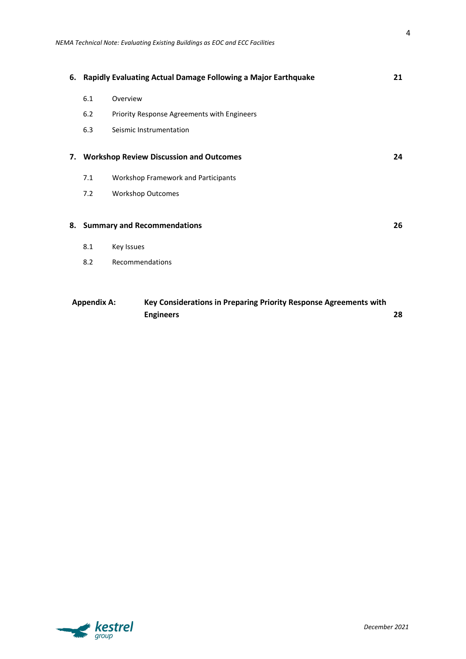| 6. Rapidly Evaluating Actual Damage Following a Major Earthquake<br>21 |                                                                   |    |
|------------------------------------------------------------------------|-------------------------------------------------------------------|----|
| 6.1                                                                    | Overview                                                          |    |
| 6.2                                                                    | Priority Response Agreements with Engineers                       |    |
| 6.3                                                                    | Seismic Instrumentation                                           |    |
| 7. Workshop Review Discussion and Outcomes                             |                                                                   |    |
| 7.1                                                                    | Workshop Framework and Participants                               |    |
| 7.2                                                                    | <b>Workshop Outcomes</b>                                          |    |
| 8. Summary and Recommendations                                         |                                                                   | 26 |
| 8.1<br>Key Issues                                                      |                                                                   |    |
| 8.2                                                                    | Recommendations                                                   |    |
|                                                                        |                                                                   |    |
| <b>Appendix A:</b>                                                     | Key Considerations in Preparing Priority Response Agreements with |    |

**Engineers 28**

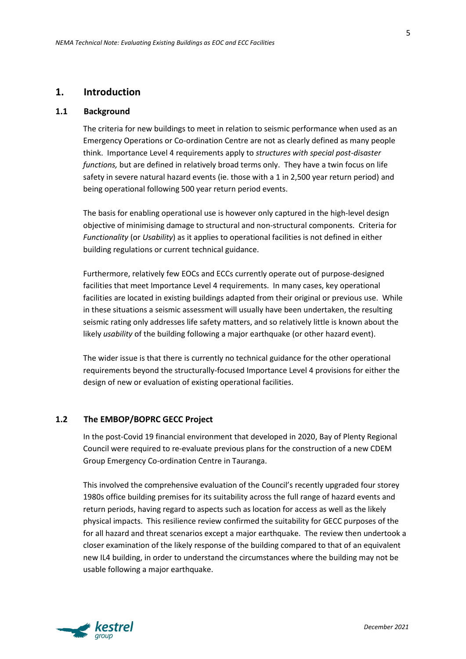## **1. Introduction**

#### **1.1 Background**

The criteria for new buildings to meet in relation to seismic performance when used as an Emergency Operations or Co-ordination Centre are not as clearly defined as many people think. Importance Level 4 requirements apply to *structures with special post-disaster functions,* but are defined in relatively broad terms only. They have a twin focus on life safety in severe natural hazard events (ie. those with a 1 in 2,500 year return period) and being operational following 500 year return period events.

The basis for enabling operational use is however only captured in the high-level design objective of minimising damage to structural and non-structural components. Criteria for *Functionality* (or *Usability*) as it applies to operational facilities is not defined in either building regulations or current technical guidance.

Furthermore, relatively few EOCs and ECCs currently operate out of purpose-designed facilities that meet Importance Level 4 requirements. In many cases, key operational facilities are located in existing buildings adapted from their original or previous use. While in these situations a seismic assessment will usually have been undertaken, the resulting seismic rating only addresses life safety matters, and so relatively little is known about the likely *usability* of the building following a major earthquake (or other hazard event).

The wider issue is that there is currently no technical guidance for the other operational requirements beyond the structurally-focused Importance Level 4 provisions for either the design of new or evaluation of existing operational facilities.

#### **1.2 The EMBOP/BOPRC GECC Project**

In the post-Covid 19 financial environment that developed in 2020, Bay of Plenty Regional Council were required to re-evaluate previous plans for the construction of a new CDEM Group Emergency Co-ordination Centre in Tauranga.

This involved the comprehensive evaluation of the Council's recently upgraded four storey 1980s office building premises for its suitability across the full range of hazard events and return periods, having regard to aspects such as location for access as well as the likely physical impacts. This resilience review confirmed the suitability for GECC purposes of the for all hazard and threat scenarios except a major earthquake. The review then undertook a closer examination of the likely response of the building compared to that of an equivalent new IL4 building, in order to understand the circumstances where the building may not be usable following a major earthquake.

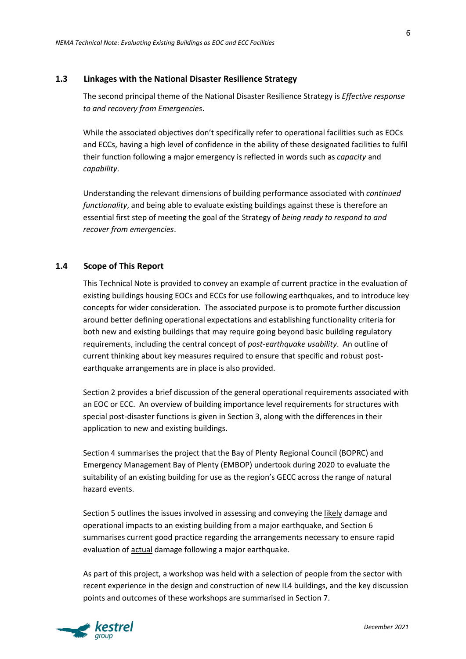#### **1.3 Linkages with the National Disaster Resilience Strategy**

The second principal theme of the National Disaster Resilience Strategy is *Effective response to and recovery from Emergencies*.

While the associated objectives don't specifically refer to operational facilities such as EOCs and ECCs, having a high level of confidence in the ability of these designated facilities to fulfil their function following a major emergency is reflected in words such as *capacity* and *capability*.

Understanding the relevant dimensions of building performance associated with *continued functionality*, and being able to evaluate existing buildings against these is therefore an essential first step of meeting the goal of the Strategy of *being ready to respond to and recover from emergencies*.

#### **1.4 Scope of This Report**

This Technical Note is provided to convey an example of current practice in the evaluation of existing buildings housing EOCs and ECCs for use following earthquakes, and to introduce key concepts for wider consideration. The associated purpose is to promote further discussion around better defining operational expectations and establishing functionality criteria for both new and existing buildings that may require going beyond basic building regulatory requirements, including the central concept of *post-earthquake usability*. An outline of current thinking about key measures required to ensure that specific and robust postearthquake arrangements are in place is also provided.

Section 2 provides a brief discussion of the general operational requirements associated with an EOC or ECC. An overview of building importance level requirements for structures with special post-disaster functions is given in Section 3, along with the differences in their application to new and existing buildings.

Section 4 summarises the project that the Bay of Plenty Regional Council (BOPRC) and Emergency Management Bay of Plenty (EMBOP) undertook during 2020 to evaluate the suitability of an existing building for use as the region's GECC across the range of natural hazard events.

Section 5 outlines the issues involved in assessing and conveying the likely damage and operational impacts to an existing building from a major earthquake, and Section 6 summarises current good practice regarding the arrangements necessary to ensure rapid evaluation of actual damage following a major earthquake.

As part of this project, a workshop was held with a selection of people from the sector with recent experience in the design and construction of new IL4 buildings, and the key discussion points and outcomes of these workshops are summarised in Section 7.

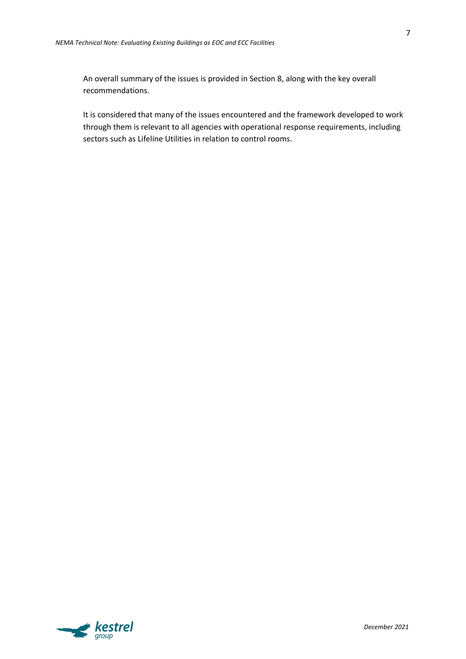An overall summary of the issues is provided in Section 8, along with the key overall recommendations.

It is considered that many of the issues encountered and the framework developed to work through them is relevant to all agencies with operational response requirements, including sectors such as Lifeline Utilities in relation to control rooms.

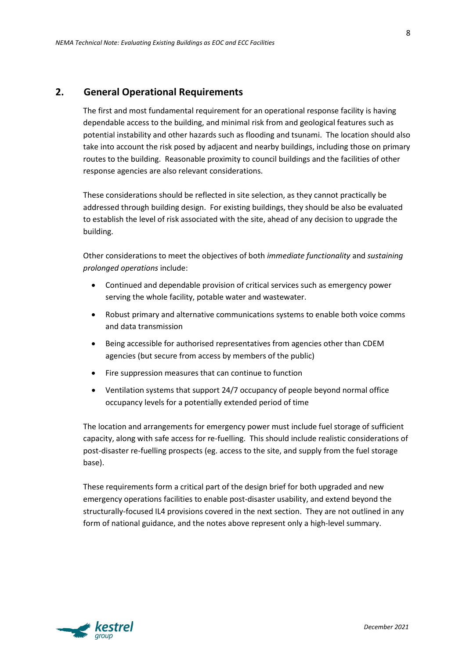## **2. General Operational Requirements**

The first and most fundamental requirement for an operational response facility is having dependable access to the building, and minimal risk from and geological features such as potential instability and other hazards such as flooding and tsunami. The location should also take into account the risk posed by adjacent and nearby buildings, including those on primary routes to the building. Reasonable proximity to council buildings and the facilities of other response agencies are also relevant considerations.

These considerations should be reflected in site selection, as they cannot practically be addressed through building design. For existing buildings, they should be also be evaluated to establish the level of risk associated with the site, ahead of any decision to upgrade the building.

Other considerations to meet the objectives of both *immediate functionality* and *sustaining prolonged operations* include:

- Continued and dependable provision of critical services such as emergency power serving the whole facility, potable water and wastewater.
- Robust primary and alternative communications systems to enable both voice comms and data transmission
- Being accessible for authorised representatives from agencies other than CDEM agencies (but secure from access by members of the public)
- Fire suppression measures that can continue to function
- Ventilation systems that support 24/7 occupancy of people beyond normal office occupancy levels for a potentially extended period of time

The location and arrangements for emergency power must include fuel storage of sufficient capacity, along with safe access for re-fuelling. This should include realistic considerations of post-disaster re-fuelling prospects (eg. access to the site, and supply from the fuel storage base).

These requirements form a critical part of the design brief for both upgraded and new emergency operations facilities to enable post-disaster usability, and extend beyond the structurally-focused IL4 provisions covered in the next section. They are not outlined in any form of national guidance, and the notes above represent only a high-level summary.

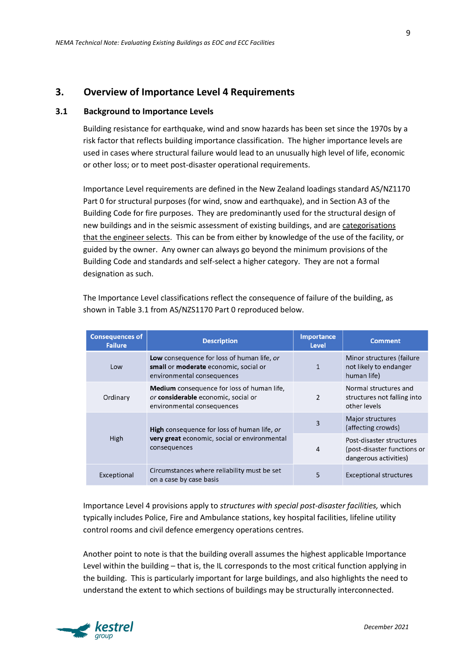## **3. Overview of Importance Level 4 Requirements**

#### **3.1 Background to Importance Levels**

Building resistance for earthquake, wind and snow hazards has been set since the 1970s by a risk factor that reflects building importance classification. The higher importance levels are used in cases where structural failure would lead to an unusually high level of life, economic or other loss; or to meet post-disaster operational requirements.

Importance Level requirements are defined in the New Zealand loadings standard AS/NZ1170 Part 0 for structural purposes (for wind, snow and earthquake), and in Section A3 of the Building Code for fire purposes. They are predominantly used for the structural design of new buildings and in the seismic assessment of existing buildings, and are categorisations that the engineer selects. This can be from either by knowledge of the use of the facility, or guided by the owner. Any owner can always go beyond the minimum provisions of the Building Code and standards and self-select a higher category. They are not a formal designation as such.

| <b>Consequences of</b><br><b>Failure</b> | <b>Description</b>                                                                                                     | <b>Importance</b><br><b>Level</b> | <b>Comment</b>                                                                   |
|------------------------------------------|------------------------------------------------------------------------------------------------------------------------|-----------------------------------|----------------------------------------------------------------------------------|
| Low                                      | Low consequence for loss of human life, or<br>small or moderate economic, social or<br>environmental consequences      | 1                                 | Minor structures (failure<br>not likely to endanger<br>human life)               |
| Ordinary                                 | <b>Medium</b> consequence for loss of human life,<br>or considerable economic, social or<br>environmental consequences | $\overline{2}$                    | Normal structures and<br>structures not falling into<br>other levels             |
|                                          | <b>High</b> consequence for loss of human life, or<br>very great economic, social or environmental<br>consequences     | 3                                 | Major structures<br>(affecting crowds)                                           |
| High                                     |                                                                                                                        | 4                                 | Post-disaster structures<br>(post-disaster functions or<br>dangerous activities) |
| Exceptional                              | Circumstances where reliability must be set<br>on a case by case basis                                                 | 5                                 | <b>Exceptional structures</b>                                                    |

The Importance Level classifications reflect the consequence of failure of the building, as shown in Table 3.1 from AS/NZS1170 Part 0 reproduced below.

Importance Level 4 provisions apply to *structures with special post-disaster facilities,* which typically includes Police, Fire and Ambulance stations, key hospital facilities, lifeline utility control rooms and civil defence emergency operations centres.

Another point to note is that the building overall assumes the highest applicable Importance Level within the building – that is, the IL corresponds to the most critical function applying in the building. This is particularly important for large buildings, and also highlights the need to understand the extent to which sections of buildings may be structurally interconnected.

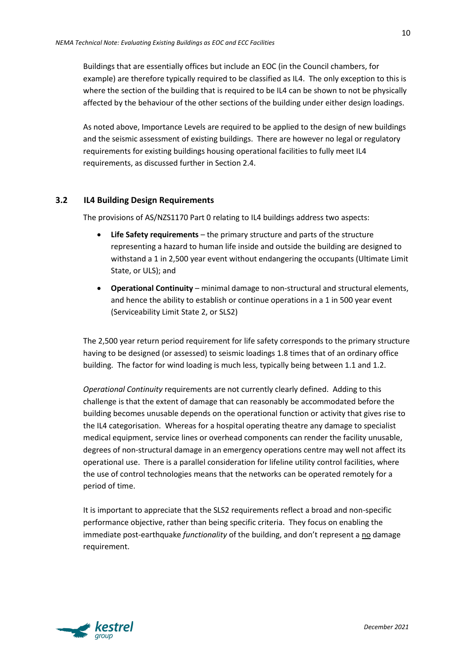Buildings that are essentially offices but include an EOC (in the Council chambers, for example) are therefore typically required to be classified as IL4. The only exception to this is where the section of the building that is required to be IL4 can be shown to not be physically affected by the behaviour of the other sections of the building under either design loadings.

As noted above, Importance Levels are required to be applied to the design of new buildings and the seismic assessment of existing buildings. There are however no legal or regulatory requirements for existing buildings housing operational facilities to fully meet IL4 requirements, as discussed further in Section 2.4.

#### **3.2 IL4 Building Design Requirements**

The provisions of AS/NZS1170 Part 0 relating to IL4 buildings address two aspects:

- **Life Safety requirements** the primary structure and parts of the structure representing a hazard to human life inside and outside the building are designed to withstand a 1 in 2,500 year event without endangering the occupants (Ultimate Limit State, or ULS); and
- **Operational Continuity** minimal damage to non-structural and structural elements, and hence the ability to establish or continue operations in a 1 in 500 year event (Serviceability Limit State 2, or SLS2)

The 2,500 year return period requirement for life safety corresponds to the primary structure having to be designed (or assessed) to seismic loadings 1.8 times that of an ordinary office building. The factor for wind loading is much less, typically being between 1.1 and 1.2.

*Operational Continuity* requirements are not currently clearly defined. Adding to this challenge is that the extent of damage that can reasonably be accommodated before the building becomes unusable depends on the operational function or activity that gives rise to the IL4 categorisation. Whereas for a hospital operating theatre any damage to specialist medical equipment, service lines or overhead components can render the facility unusable, degrees of non-structural damage in an emergency operations centre may well not affect its operational use. There is a parallel consideration for lifeline utility control facilities, where the use of control technologies means that the networks can be operated remotely for a period of time.

It is important to appreciate that the SLS2 requirements reflect a broad and non-specific performance objective, rather than being specific criteria. They focus on enabling the immediate post-earthquake *functionality* of the building, and don't represent a no damage requirement.

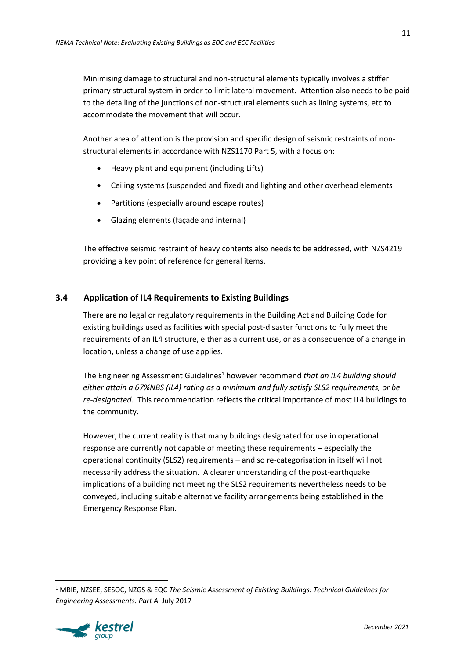Minimising damage to structural and non-structural elements typically involves a stiffer primary structural system in order to limit lateral movement. Attention also needs to be paid to the detailing of the junctions of non-structural elements such as lining systems, etc to accommodate the movement that will occur.

Another area of attention is the provision and specific design of seismic restraints of nonstructural elements in accordance with NZS1170 Part 5, with a focus on:

- Heavy plant and equipment (including Lifts)
- Ceiling systems (suspended and fixed) and lighting and other overhead elements
- Partitions (especially around escape routes)
- Glazing elements (façade and internal)

The effective seismic restraint of heavy contents also needs to be addressed, with NZS4219 providing a key point of reference for general items.

## **3.4 Application of IL4 Requirements to Existing Buildings**

There are no legal or regulatory requirements in the Building Act and Building Code for existing buildings used as facilities with special post-disaster functions to fully meet the requirements of an IL4 structure, either as a current use, or as a consequence of a change in location, unless a change of use applies.

The Engineering Assessment Guidelines<sup>1</sup> however recommend *that an IL4 building should either attain a 67%NBS (IL4) rating as a minimum and fully satisfy SLS2 requirements, or be re-designated*. This recommendation reflects the critical importance of most IL4 buildings to the community.

However, the current reality is that many buildings designated for use in operational response are currently not capable of meeting these requirements – especially the operational continuity (SLS2) requirements – and so re-categorisation in itself will not necessarily address the situation. A clearer understanding of the post-earthquake implications of a building not meeting the SLS2 requirements nevertheless needs to be conveyed, including suitable alternative facility arrangements being established in the Emergency Response Plan.

<sup>1</sup> MBIE, NZSEE, SESOC, NZGS & EQC *The Seismic Assessment of Existing Buildings: Technical Guidelines for Engineering Assessments. Part A* July 2017

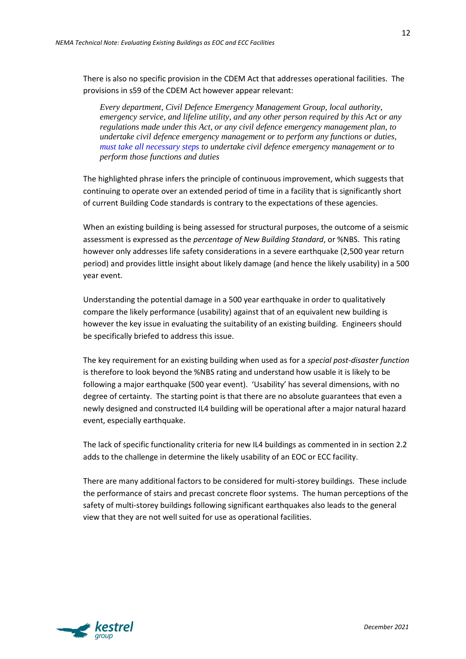There is also no specific provision in the CDEM Act that addresses operational facilities. The provisions in s59 of the CDEM Act however appear relevant:

*Every department, Civil Defence Emergency Management Group, local authority, emergency service, and lifeline utility, and any other person required by this Act or any regulations made under this Act, or any civil defence emergency management plan, to undertake civil defence emergency management or to perform any functions or duties, must take all necessary steps to undertake civil defence emergency management or to perform those functions and duties*

The highlighted phrase infers the principle of continuous improvement, which suggests that continuing to operate over an extended period of time in a facility that is significantly short of current Building Code standards is contrary to the expectations of these agencies.

When an existing building is being assessed for structural purposes, the outcome of a seismic assessment is expressed as the *percentage of New Building Standard*, or %NBS. This rating however only addresses life safety considerations in a severe earthquake (2,500 year return period) and provides little insight about likely damage (and hence the likely usability) in a 500 year event.

Understanding the potential damage in a 500 year earthquake in order to qualitatively compare the likely performance (usability) against that of an equivalent new building is however the key issue in evaluating the suitability of an existing building. Engineers should be specifically briefed to address this issue.

The key requirement for an existing building when used as for a *special post-disaster function* is therefore to look beyond the %NBS rating and understand how usable it is likely to be following a major earthquake (500 year event). 'Usability' has several dimensions, with no degree of certainty. The starting point is that there are no absolute guarantees that even a newly designed and constructed IL4 building will be operational after a major natural hazard event, especially earthquake.

The lack of specific functionality criteria for new IL4 buildings as commented in in section 2.2 adds to the challenge in determine the likely usability of an EOC or ECC facility.

There are many additional factors to be considered for multi-storey buildings. These include the performance of stairs and precast concrete floor systems. The human perceptions of the safety of multi-storey buildings following significant earthquakes also leads to the general view that they are not well suited for use as operational facilities.

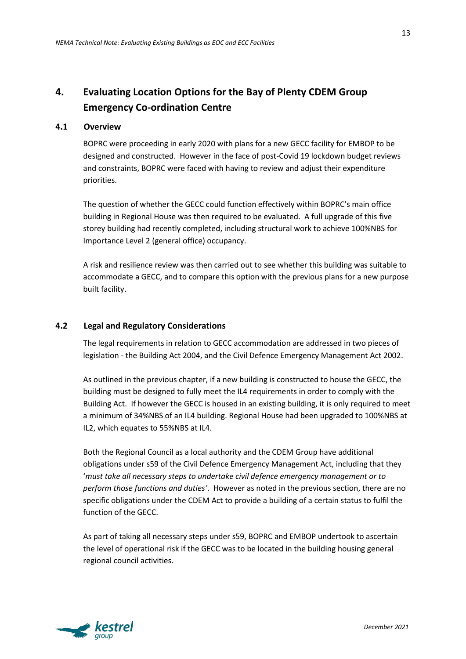## **4. Evaluating Location Options for the Bay of Plenty CDEM Group Emergency Co-ordination Centre**

#### **4.1 Overview**

BOPRC were proceeding in early 2020 with plans for a new GECC facility for EMBOP to be designed and constructed. However in the face of post-Covid 19 lockdown budget reviews and constraints, BOPRC were faced with having to review and adjust their expenditure priorities.

The question of whether the GECC could function effectively within BOPRC's main office building in Regional House was then required to be evaluated. A full upgrade of this five storey building had recently completed, including structural work to achieve 100%NBS for Importance Level 2 (general office) occupancy.

A risk and resilience review was then carried out to see whether this building was suitable to accommodate a GECC, and to compare this option with the previous plans for a new purpose built facility.

#### **4.2 Legal and Regulatory Considerations**

The legal requirements in relation to GECC accommodation are addressed in two pieces of legislation - the Building Act 2004, and the Civil Defence Emergency Management Act 2002.

As outlined in the previous chapter, if a new building is constructed to house the GECC, the building must be designed to fully meet the IL4 requirements in order to comply with the Building Act. If however the GECC is housed in an existing building, it is only required to meet a minimum of 34%NBS of an IL4 building. Regional House had been upgraded to 100%NBS at IL2, which equates to 55%NBS at IL4.

Both the Regional Council as a local authority and the CDEM Group have additional obligations under s59 of the Civil Defence Emergency Management Act, including that they '*must take all necessary steps to undertake civil defence emergency management or to perform those functions and duties'*. However as noted in the previous section, there are no specific obligations under the CDEM Act to provide a building of a certain status to fulfil the function of the GECC.

As part of taking all necessary steps under s59, BOPRC and EMBOP undertook to ascertain the level of operational risk if the GECC was to be located in the building housing general regional council activities.



*December 2021*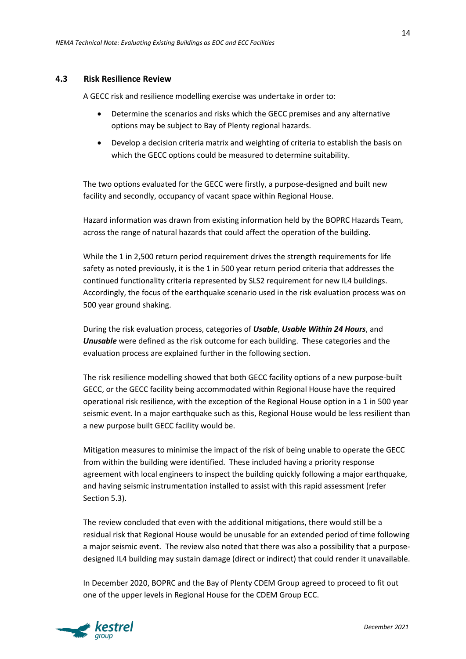#### **4.3 Risk Resilience Review**

A GECC risk and resilience modelling exercise was undertake in order to:

- Determine the scenarios and risks which the GECC premises and any alternative options may be subject to Bay of Plenty regional hazards.
- Develop a decision criteria matrix and weighting of criteria to establish the basis on which the GECC options could be measured to determine suitability.

The two options evaluated for the GECC were firstly, a purpose-designed and built new facility and secondly, occupancy of vacant space within Regional House.

Hazard information was drawn from existing information held by the BOPRC Hazards Team, across the range of natural hazards that could affect the operation of the building.

While the 1 in 2,500 return period requirement drives the strength requirements for life safety as noted previously, it is the 1 in 500 year return period criteria that addresses the continued functionality criteria represented by SLS2 requirement for new IL4 buildings. Accordingly, the focus of the earthquake scenario used in the risk evaluation process was on 500 year ground shaking.

During the risk evaluation process, categories of *Usable*, *Usable Within 24 Hours*, and *Unusable* were defined as the risk outcome for each building. These categories and the evaluation process are explained further in the following section.

The risk resilience modelling showed that both GECC facility options of a new purpose-built GECC, or the GECC facility being accommodated within Regional House have the required operational risk resilience, with the exception of the Regional House option in a 1 in 500 year seismic event. In a major earthquake such as this, Regional House would be less resilient than a new purpose built GECC facility would be.

Mitigation measures to minimise the impact of the risk of being unable to operate the GECC from within the building were identified. These included having a priority response agreement with local engineers to inspect the building quickly following a major earthquake, and having seismic instrumentation installed to assist with this rapid assessment (refer Section 5.3).

The review concluded that even with the additional mitigations, there would still be a residual risk that Regional House would be unusable for an extended period of time following a major seismic event. The review also noted that there was also a possibility that a purposedesigned IL4 building may sustain damage (direct or indirect) that could render it unavailable.

In December 2020, BOPRC and the Bay of Plenty CDEM Group agreed to proceed to fit out one of the upper levels in Regional House for the CDEM Group ECC.

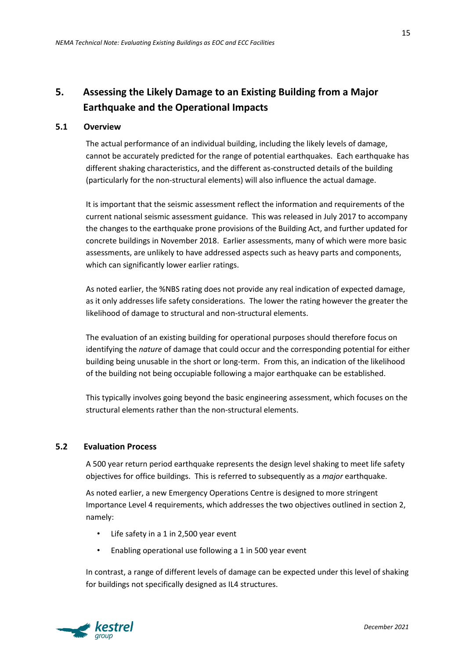## **5. Assessing the Likely Damage to an Existing Building from a Major Earthquake and the Operational Impacts**

#### **5.1 Overview**

The actual performance of an individual building, including the likely levels of damage, cannot be accurately predicted for the range of potential earthquakes. Each earthquake has different shaking characteristics, and the different as-constructed details of the building (particularly for the non-structural elements) will also influence the actual damage.

It is important that the seismic assessment reflect the information and requirements of the current national seismic assessment guidance. This was released in July 2017 to accompany the changes to the earthquake prone provisions of the Building Act, and further updated for concrete buildings in November 2018. Earlier assessments, many of which were more basic assessments, are unlikely to have addressed aspects such as heavy parts and components, which can significantly lower earlier ratings.

As noted earlier, the %NBS rating does not provide any real indication of expected damage, as it only addresses life safety considerations. The lower the rating however the greater the likelihood of damage to structural and non-structural elements.

The evaluation of an existing building for operational purposes should therefore focus on identifying the *nature* of damage that could occur and the corresponding potential for either building being unusable in the short or long-term. From this, an indication of the likelihood of the building not being occupiable following a major earthquake can be established.

This typically involves going beyond the basic engineering assessment, which focuses on the structural elements rather than the non-structural elements.

#### **5.2 Evaluation Process**

A 500 year return period earthquake represents the design level shaking to meet life safety objectives for office buildings. This is referred to subsequently as a *major* earthquake.

As noted earlier, a new Emergency Operations Centre is designed to more stringent Importance Level 4 requirements, which addresses the two objectives outlined in section 2, namely:

- Life safety in a 1 in 2,500 year event
- Enabling operational use following a 1 in 500 year event

In contrast, a range of different levels of damage can be expected under this level of shaking for buildings not specifically designed as IL4 structures.

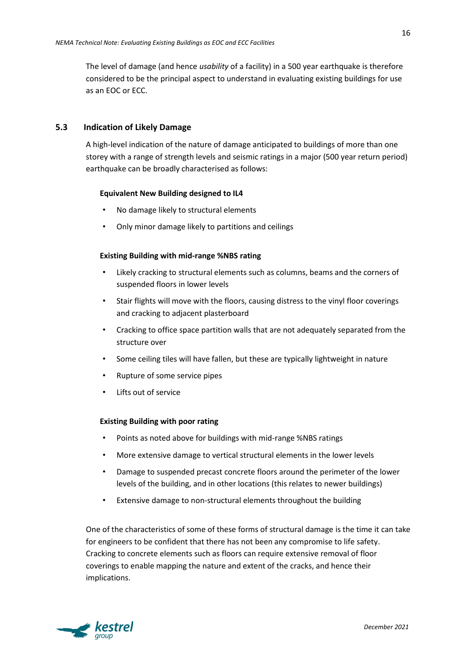The level of damage (and hence *usability* of a facility) in a 500 year earthquake is therefore considered to be the principal aspect to understand in evaluating existing buildings for use as an EOC or ECC.

#### **5.3 Indication of Likely Damage**

A high-level indication of the nature of damage anticipated to buildings of more than one storey with a range of strength levels and seismic ratings in a major (500 year return period) earthquake can be broadly characterised as follows:

#### **Equivalent New Building designed to IL4**

- No damage likely to structural elements
- Only minor damage likely to partitions and ceilings

#### **Existing Building with mid-range %NBS rating**

- Likely cracking to structural elements such as columns, beams and the corners of suspended floors in lower levels
- Stair flights will move with the floors, causing distress to the vinyl floor coverings and cracking to adjacent plasterboard
- Cracking to office space partition walls that are not adequately separated from the structure over
- Some ceiling tiles will have fallen, but these are typically lightweight in nature
- Rupture of some service pipes
- Lifts out of service

#### **Existing Building with poor rating**

- Points as noted above for buildings with mid-range %NBS ratings
- More extensive damage to vertical structural elements in the lower levels
- Damage to suspended precast concrete floors around the perimeter of the lower levels of the building, and in other locations (this relates to newer buildings)
- Extensive damage to non-structural elements throughout the building

One of the characteristics of some of these forms of structural damage is the time it can take for engineers to be confident that there has not been any compromise to life safety. Cracking to concrete elements such as floors can require extensive removal of floor coverings to enable mapping the nature and extent of the cracks, and hence their implications.



16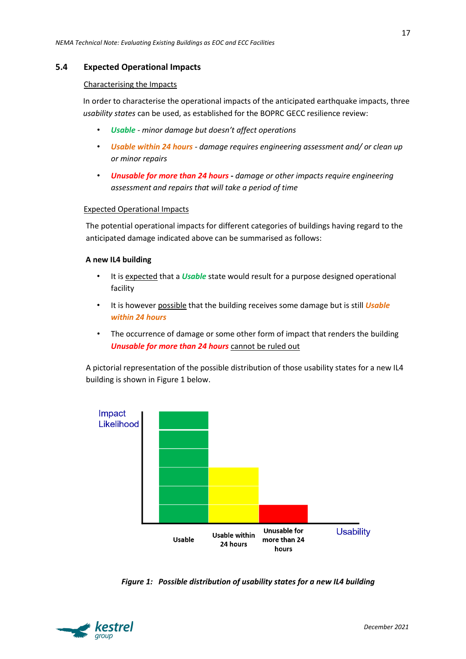#### **5.4 Expected Operational Impacts**

#### Characterising the Impacts

In order to characterise the operational impacts of the anticipated earthquake impacts, three *usability states* can be used, as established for the BOPRC GECC resilience review:

- *Usable minor damage but doesn't affect operations*
- *Usable within 24 hours damage requires engineering assessment and/ or clean up or minor repairs*
- *Unusable for more than 24 hours* **-** *damage or other impacts require engineering assessment and repairs that will take a period of time*

#### Expected Operational Impacts

The potential operational impacts for different categories of buildings having regard to the anticipated damage indicated above can be summarised as follows:

#### **A new IL4 building**

- It is expected that a *Usable* state would result for a purpose designed operational facility
- It is however possible that the building receives some damage but is still *Usable within 24 hours*
- The occurrence of damage or some other form of impact that renders the building *Unusable for more than 24 hours* cannot be ruled out

A pictorial representation of the possible distribution of those usability states for a new IL4 building is shown in Figure 1 below.



*Figure 1: Possible distribution of usability states for a new IL4 building*

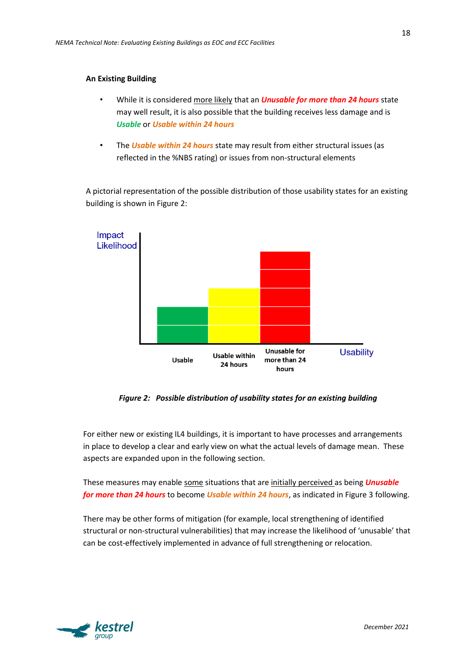#### **An Existing Building**

- While it is considered more likely that an *Unusable for more than 24 hours* state may well result, it is also possible that the building receives less damage and is *Usable* or *Usable within 24 hours*
- The *Usable within 24 hours* state may result from either structural issues (as reflected in the %NBS rating) or issues from non-structural elements

A pictorial representation of the possible distribution of those usability states for an existing building is shown in Figure 2:



*Figure 2: Possible distribution of usability states for an existing building*

For either new or existing IL4 buildings, it is important to have processes and arrangements in place to develop a clear and early view on what the actual levels of damage mean. These aspects are expanded upon in the following section.

These measures may enable some situations that are initially perceived as being *Unusable for more than 24 hours* to become *Usable within 24 hours*, as indicated in Figure 3 following.

There may be other forms of mitigation (for example, local strengthening of identified structural or non-structural vulnerabilities) that may increase the likelihood of 'unusable' that can be cost-effectively implemented in advance of full strengthening or relocation.

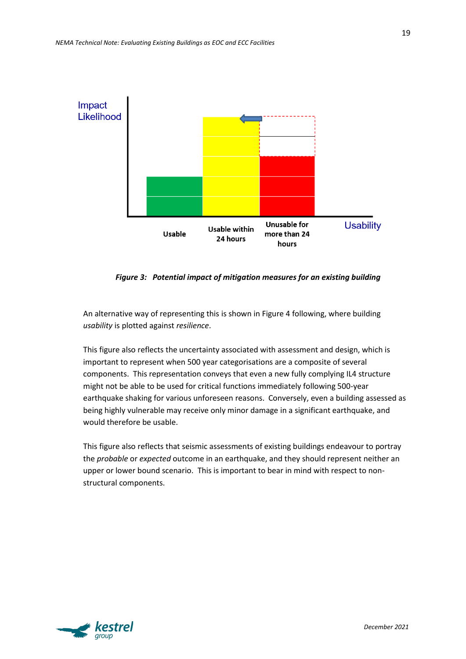

*Figure 3: Potential impact of mitigation measures for an existing building*

An alternative way of representing this is shown in Figure 4 following, where building *usability* is plotted against *resilience*.

This figure also reflects the uncertainty associated with assessment and design, which is important to represent when 500 year categorisations are a composite of several components. This representation conveys that even a new fully complying IL4 structure might not be able to be used for critical functions immediately following 500-year earthquake shaking for various unforeseen reasons. Conversely, even a building assessed as being highly vulnerable may receive only minor damage in a significant earthquake, and would therefore be usable.

This figure also reflects that seismic assessments of existing buildings endeavour to portray the *probable* or *expected* outcome in an earthquake, and they should represent neither an upper or lower bound scenario. This is important to bear in mind with respect to nonstructural components.

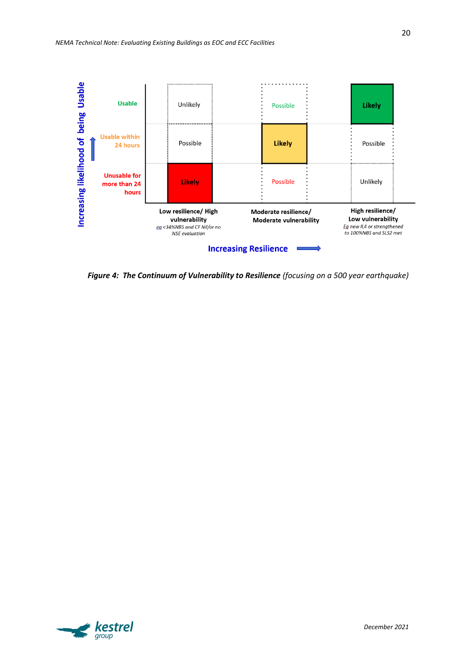

*Figure 4: The Continuum of Vulnerability to Resilience (focusing on a 500 year earthquake)*

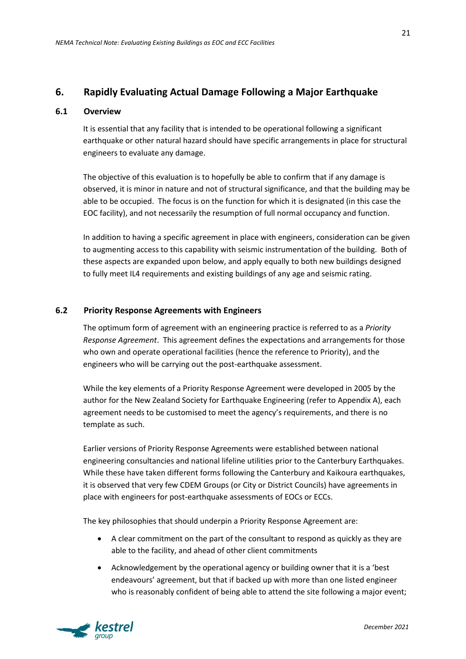## **6. Rapidly Evaluating Actual Damage Following a Major Earthquake**

#### **6.1 Overview**

It is essential that any facility that is intended to be operational following a significant earthquake or other natural hazard should have specific arrangements in place for structural engineers to evaluate any damage.

The objective of this evaluation is to hopefully be able to confirm that if any damage is observed, it is minor in nature and not of structural significance, and that the building may be able to be occupied. The focus is on the function for which it is designated (in this case the EOC facility), and not necessarily the resumption of full normal occupancy and function.

In addition to having a specific agreement in place with engineers, consideration can be given to augmenting access to this capability with seismic instrumentation of the building. Both of these aspects are expanded upon below, and apply equally to both new buildings designed to fully meet IL4 requirements and existing buildings of any age and seismic rating.

#### **6.2 Priority Response Agreements with Engineers**

The optimum form of agreement with an engineering practice is referred to as a *Priority Response Agreement*. This agreement defines the expectations and arrangements for those who own and operate operational facilities (hence the reference to Priority), and the engineers who will be carrying out the post-earthquake assessment.

While the key elements of a Priority Response Agreement were developed in 2005 by the author for the New Zealand Society for Earthquake Engineering (refer to Appendix A), each agreement needs to be customised to meet the agency's requirements, and there is no template as such.

Earlier versions of Priority Response Agreements were established between national engineering consultancies and national lifeline utilities prior to the Canterbury Earthquakes. While these have taken different forms following the Canterbury and Kaikoura earthquakes, it is observed that very few CDEM Groups (or City or District Councils) have agreements in place with engineers for post-earthquake assessments of EOCs or ECCs.

The key philosophies that should underpin a Priority Response Agreement are:

- A clear commitment on the part of the consultant to respond as quickly as they are able to the facility, and ahead of other client commitments
- Acknowledgement by the operational agency or building owner that it is a 'best endeavours' agreement, but that if backed up with more than one listed engineer who is reasonably confident of being able to attend the site following a major event;

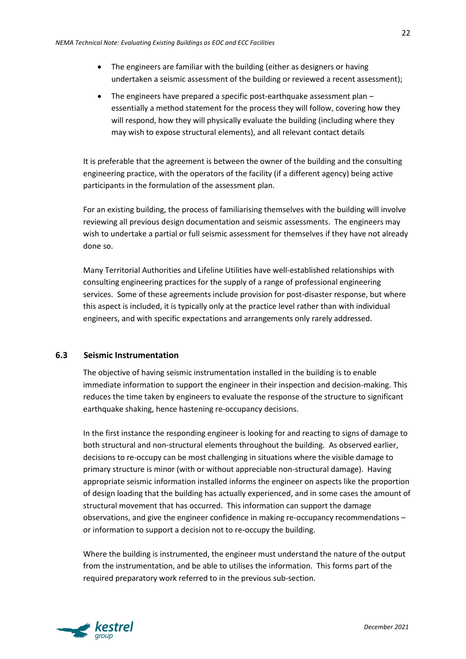- The engineers are familiar with the building (either as designers or having undertaken a seismic assessment of the building or reviewed a recent assessment);
- The engineers have prepared a specific post-earthquake assessment plan essentially a method statement for the process they will follow, covering how they will respond, how they will physically evaluate the building (including where they may wish to expose structural elements), and all relevant contact details

It is preferable that the agreement is between the owner of the building and the consulting engineering practice, with the operators of the facility (if a different agency) being active participants in the formulation of the assessment plan.

For an existing building, the process of familiarising themselves with the building will involve reviewing all previous design documentation and seismic assessments. The engineers may wish to undertake a partial or full seismic assessment for themselves if they have not already done so.

Many Territorial Authorities and Lifeline Utilities have well-established relationships with consulting engineering practices for the supply of a range of professional engineering services. Some of these agreements include provision for post-disaster response, but where this aspect is included, it is typically only at the practice level rather than with individual engineers, and with specific expectations and arrangements only rarely addressed.

#### **6.3 Seismic Instrumentation**

The objective of having seismic instrumentation installed in the building is to enable immediate information to support the engineer in their inspection and decision-making. This reduces the time taken by engineers to evaluate the response of the structure to significant earthquake shaking, hence hastening re-occupancy decisions.

In the first instance the responding engineer is looking for and reacting to signs of damage to both structural and non-structural elements throughout the building. As observed earlier, decisions to re-occupy can be most challenging in situations where the visible damage to primary structure is minor (with or without appreciable non-structural damage). Having appropriate seismic information installed informs the engineer on aspects like the proportion of design loading that the building has actually experienced, and in some cases the amount of structural movement that has occurred. This information can support the damage observations, and give the engineer confidence in making re-occupancy recommendations – or information to support a decision not to re-occupy the building.

Where the building is instrumented, the engineer must understand the nature of the output from the instrumentation, and be able to utilises the information. This forms part of the required preparatory work referred to in the previous sub-section.

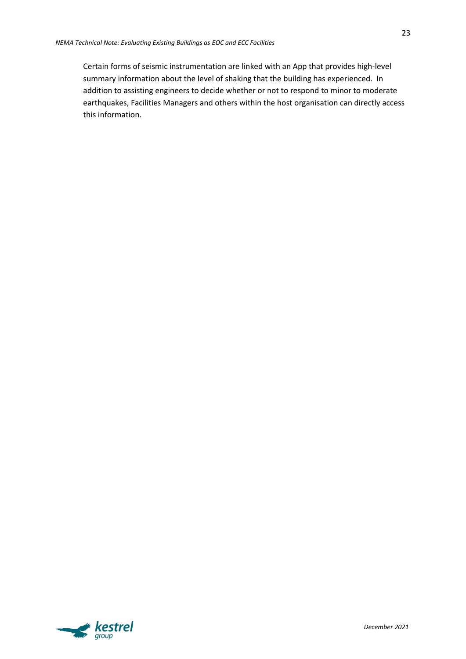Certain forms of seismic instrumentation are linked with an App that provides high-level summary information about the level of shaking that the building has experienced. In addition to assisting engineers to decide whether or not to respond to minor to moderate earthquakes, Facilities Managers and others within the host organisation can directly access this information.

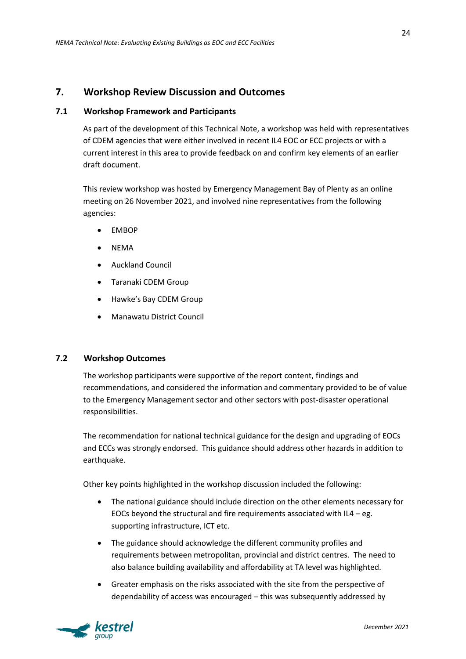## **7. Workshop Review Discussion and Outcomes**

#### **7.1 Workshop Framework and Participants**

As part of the development of this Technical Note, a workshop was held with representatives of CDEM agencies that were either involved in recent IL4 EOC or ECC projects or with a current interest in this area to provide feedback on and confirm key elements of an earlier draft document.

This review workshop was hosted by Emergency Management Bay of Plenty as an online meeting on 26 November 2021, and involved nine representatives from the following agencies:

- EMBOP
- NEMA
- Auckland Council
- Taranaki CDEM Group
- Hawke's Bay CDEM Group
- Manawatu District Council

#### **7.2 Workshop Outcomes**

The workshop participants were supportive of the report content, findings and recommendations, and considered the information and commentary provided to be of value to the Emergency Management sector and other sectors with post-disaster operational responsibilities.

The recommendation for national technical guidance for the design and upgrading of EOCs and ECCs was strongly endorsed. This guidance should address other hazards in addition to earthquake.

Other key points highlighted in the workshop discussion included the following:

- The national guidance should include direction on the other elements necessary for EOCs beyond the structural and fire requirements associated with  $IL4 - eg$ . supporting infrastructure, ICT etc.
- The guidance should acknowledge the different community profiles and requirements between metropolitan, provincial and district centres. The need to also balance building availability and affordability at TA level was highlighted.
- Greater emphasis on the risks associated with the site from the perspective of dependability of access was encouraged – this was subsequently addressed by

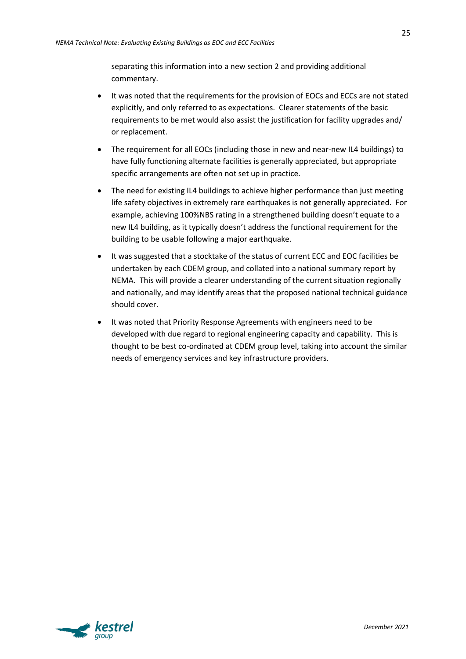separating this information into a new section 2 and providing additional commentary.

- It was noted that the requirements for the provision of EOCs and ECCs are not stated explicitly, and only referred to as expectations. Clearer statements of the basic requirements to be met would also assist the justification for facility upgrades and/ or replacement.
- The requirement for all EOCs (including those in new and near-new IL4 buildings) to have fully functioning alternate facilities is generally appreciated, but appropriate specific arrangements are often not set up in practice.
- The need for existing IL4 buildings to achieve higher performance than just meeting life safety objectives in extremely rare earthquakes is not generally appreciated. For example, achieving 100%NBS rating in a strengthened building doesn't equate to a new IL4 building, as it typically doesn't address the functional requirement for the building to be usable following a major earthquake.
- It was suggested that a stocktake of the status of current ECC and EOC facilities be undertaken by each CDEM group, and collated into a national summary report by NEMA. This will provide a clearer understanding of the current situation regionally and nationally, and may identify areas that the proposed national technical guidance should cover.
- It was noted that Priority Response Agreements with engineers need to be developed with due regard to regional engineering capacity and capability. This is thought to be best co-ordinated at CDEM group level, taking into account the similar needs of emergency services and key infrastructure providers.

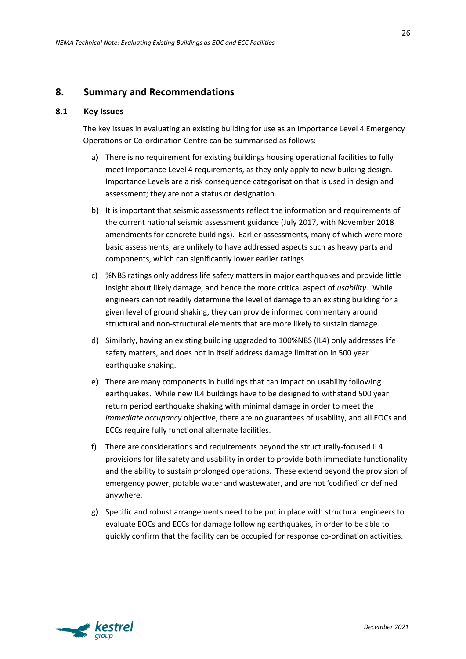## **8. Summary and Recommendations**

#### **8.1 Key Issues**

The key issues in evaluating an existing building for use as an Importance Level 4 Emergency Operations or Co-ordination Centre can be summarised as follows:

- a) There is no requirement for existing buildings housing operational facilities to fully meet Importance Level 4 requirements, as they only apply to new building design. Importance Levels are a risk consequence categorisation that is used in design and assessment; they are not a status or designation.
- b) It is important that seismic assessments reflect the information and requirements of the current national seismic assessment guidance (July 2017, with November 2018 amendments for concrete buildings). Earlier assessments, many of which were more basic assessments, are unlikely to have addressed aspects such as heavy parts and components, which can significantly lower earlier ratings.
- c) %NBS ratings only address life safety matters in major earthquakes and provide little insight about likely damage, and hence the more critical aspect of *usability*. While engineers cannot readily determine the level of damage to an existing building for a given level of ground shaking, they can provide informed commentary around structural and non-structural elements that are more likely to sustain damage.
- d) Similarly, having an existing building upgraded to 100%NBS (IL4) only addresses life safety matters, and does not in itself address damage limitation in 500 year earthquake shaking.
- e) There are many components in buildings that can impact on usability following earthquakes. While new IL4 buildings have to be designed to withstand 500 year return period earthquake shaking with minimal damage in order to meet the *immediate occupancy* objective, there are no guarantees of usability, and all EOCs and ECCs require fully functional alternate facilities.
- f) There are considerations and requirements beyond the structurally-focused IL4 provisions for life safety and usability in order to provide both immediate functionality and the ability to sustain prolonged operations. These extend beyond the provision of emergency power, potable water and wastewater, and are not 'codified' or defined anywhere.
- g) Specific and robust arrangements need to be put in place with structural engineers to evaluate EOCs and ECCs for damage following earthquakes, in order to be able to quickly confirm that the facility can be occupied for response co-ordination activities.



26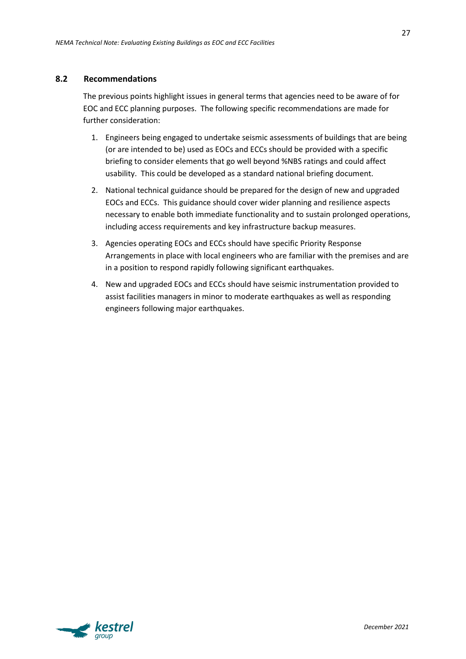#### **8.2 Recommendations**

The previous points highlight issues in general terms that agencies need to be aware of for EOC and ECC planning purposes. The following specific recommendations are made for further consideration:

- 1. Engineers being engaged to undertake seismic assessments of buildings that are being (or are intended to be) used as EOCs and ECCs should be provided with a specific briefing to consider elements that go well beyond %NBS ratings and could affect usability. This could be developed as a standard national briefing document.
- 2. National technical guidance should be prepared for the design of new and upgraded EOCs and ECCs. This guidance should cover wider planning and resilience aspects necessary to enable both immediate functionality and to sustain prolonged operations, including access requirements and key infrastructure backup measures.
- 3. Agencies operating EOCs and ECCs should have specific Priority Response Arrangements in place with local engineers who are familiar with the premises and are in a position to respond rapidly following significant earthquakes.
- 4. New and upgraded EOCs and ECCs should have seismic instrumentation provided to assist facilities managers in minor to moderate earthquakes as well as responding engineers following major earthquakes.

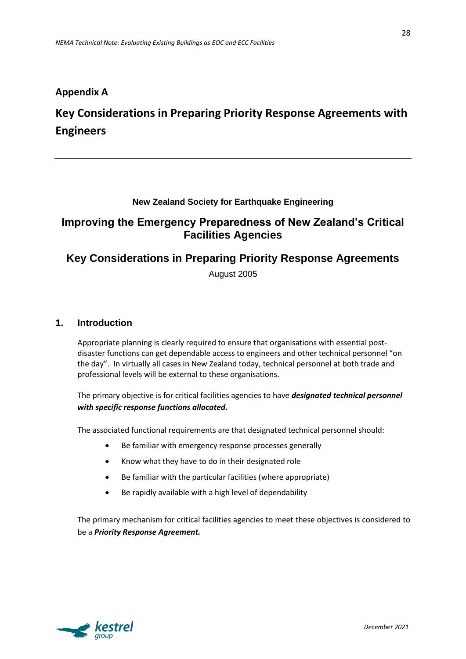## **Appendix A**

## **Key Considerations in Preparing Priority Response Agreements with Engineers**

#### **New Zealand Society for Earthquake Engineering**

## **Improving the Emergency Preparedness of New Zealand's Critical Facilities Agencies**

## **Key Considerations in Preparing Priority Response Agreements**

August 2005

#### **1. Introduction**

Appropriate planning is clearly required to ensure that organisations with essential postdisaster functions can get dependable access to engineers and other technical personnel "on the day". In virtually all cases in New Zealand today, technical personnel at both trade and professional levels will be external to these organisations.

The primary objective is for critical facilities agencies to have *designated technical personnel with specific response functions allocated.*

The associated functional requirements are that designated technical personnel should:

- Be familiar with emergency response processes generally
- Know what they have to do in their designated role
- Be familiar with the particular facilities (where appropriate)
- Be rapidly available with a high level of dependability

The primary mechanism for critical facilities agencies to meet these objectives is considered to be a *Priority Response Agreement.*

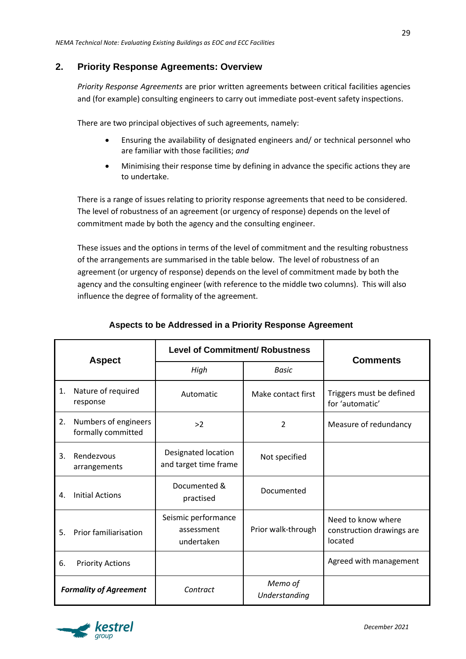## **2. Priority Response Agreements: Overview**

*Priority Response Agreements* are prior written agreements between critical facilities agencies and (for example) consulting engineers to carry out immediate post-event safety inspections.

There are two principal objectives of such agreements, namely:

- Ensuring the availability of designated engineers and/ or technical personnel who are familiar with those facilities; *and*
- Minimising their response time by defining in advance the specific actions they are to undertake.

There is a range of issues relating to priority response agreements that need to be considered. The level of robustness of an agreement (or urgency of response) depends on the level of commitment made by both the agency and the consulting engineer.

These issues and the options in terms of the level of commitment and the resulting robustness of the arrangements are summarised in the table below. The level of robustness of an agreement (or urgency of response) depends on the level of commitment made by both the agency and the consulting engineer (with reference to the middle two columns). This will also influence the degree of formality of the agreement.

| <b>Aspect</b>                 |                                            | <b>Level of Commitment/ Robustness</b>          |                          | <b>Comments</b>                                            |
|-------------------------------|--------------------------------------------|-------------------------------------------------|--------------------------|------------------------------------------------------------|
|                               |                                            | High                                            | <b>Basic</b>             |                                                            |
| 1.                            | Nature of required<br>response             | Automatic                                       | Make contact first       | Triggers must be defined<br>for 'automatic'                |
| 2.                            | Numbers of engineers<br>formally committed | >2                                              | $\overline{\mathcal{L}}$ | Measure of redundancy                                      |
| 3.                            | Rendezvous<br>arrangements                 | Designated location<br>and target time frame    | Not specified            |                                                            |
| 4.                            | <b>Initial Actions</b>                     | Documented &<br>practised                       | Documented               |                                                            |
| 5.                            | <b>Prior familiarisation</b>               | Seismic performance<br>assessment<br>undertaken | Prior walk-through       | Need to know where<br>construction drawings are<br>located |
| 6.                            | <b>Priority Actions</b>                    |                                                 |                          | Agreed with management                                     |
| <b>Formality of Agreement</b> |                                            | Contract                                        | Memo of<br>Understanding |                                                            |

## **Aspects to be Addressed in a Priority Response Agreement**

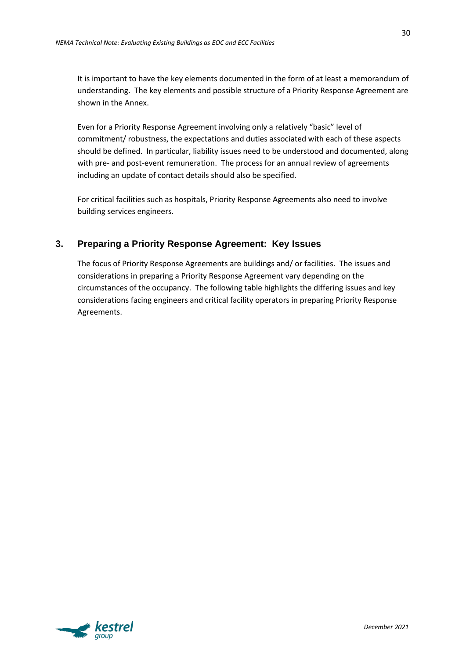It is important to have the key elements documented in the form of at least a memorandum of understanding. The key elements and possible structure of a Priority Response Agreement are shown in the Annex.

Even for a Priority Response Agreement involving only a relatively "basic" level of commitment/ robustness, the expectations and duties associated with each of these aspects should be defined. In particular, liability issues need to be understood and documented, along with pre- and post-event remuneration. The process for an annual review of agreements including an update of contact details should also be specified.

For critical facilities such as hospitals, Priority Response Agreements also need to involve building services engineers.

## **3. Preparing a Priority Response Agreement: Key Issues**

The focus of Priority Response Agreements are buildings and/ or facilities. The issues and considerations in preparing a Priority Response Agreement vary depending on the circumstances of the occupancy. The following table highlights the differing issues and key considerations facing engineers and critical facility operators in preparing Priority Response Agreements.

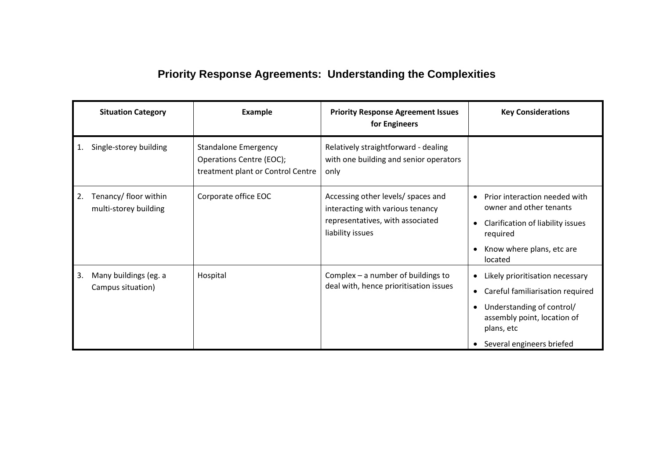## **Priority Response Agreements: Understanding the Complexities**

|    | <b>Situation Category</b>                      | Example                                                                                      | <b>Priority Response Agreement Issues</b><br>for Engineers                                                                     | <b>Key Considerations</b>                                                                                                                                                               |
|----|------------------------------------------------|----------------------------------------------------------------------------------------------|--------------------------------------------------------------------------------------------------------------------------------|-----------------------------------------------------------------------------------------------------------------------------------------------------------------------------------------|
| 1. | Single-storey building                         | <b>Standalone Emergency</b><br>Operations Centre (EOC);<br>treatment plant or Control Centre | Relatively straightforward - dealing<br>with one building and senior operators<br>only                                         |                                                                                                                                                                                         |
| 2. | Tenancy/ floor within<br>multi-storey building | Corporate office EOC                                                                         | Accessing other levels/ spaces and<br>interacting with various tenancy<br>representatives, with associated<br>liability issues | Prior interaction needed with<br>owner and other tenants<br>Clarification of liability issues<br>$\bullet$<br>required<br>Know where plans, etc are<br>located                          |
| 3. | Many buildings (eg. a<br>Campus situation)     | Hospital                                                                                     | Complex $-$ a number of buildings to<br>deal with, hence prioritisation issues                                                 | Likely prioritisation necessary<br>Careful familiarisation required<br>$\bullet$<br>Understanding of control/<br>assembly point, location of<br>plans, etc<br>Several engineers briefed |